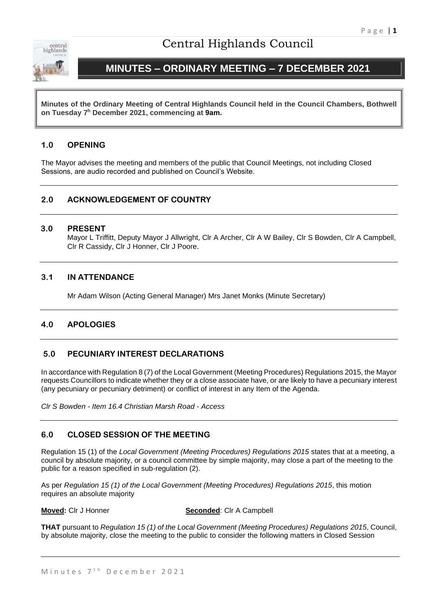

# Central Highlands Council

# **MINUTES – ORDINARY MEETING – 7 DECEMBER 2021**

**Minutes of the Ordinary Meeting of Central Highlands Council held in the Council Chambers, Bothwell on Tuesday 7 <sup>h</sup> December 2021, commencing at 9am.**

# **1.0 OPENING**

The Mayor advises the meeting and members of the public that Council Meetings, not including Closed Sessions, are audio recorded and published on Council's Website.

# **2.0 ACKNOWLEDGEMENT OF COUNTRY**

#### **3.0 PRESENT**

Mayor L Triffitt, Deputy Mayor J Allwright, Clr A Archer, Clr A W Bailey, Clr S Bowden, Clr A Campbell, Clr R Cassidy, Clr J Honner, Clr J Poore.

### **3.1 IN ATTENDANCE**

Mr Adam Wilson (Acting General Manager) Mrs Janet Monks (Minute Secretary)

# **4.0 APOLOGIES**

# **5.0 PECUNIARY INTEREST DECLARATIONS**

In accordance with Regulation 8 (7) of the Local Government (Meeting Procedures) Regulations 2015, the Mayor requests Councillors to indicate whether they or a close associate have, or are likely to have a pecuniary interest (any pecuniary or pecuniary detriment) or conflict of interest in any Item of the Agenda.

*Clr S Bowden - Item 16.4 Christian Marsh Road - Access*

#### **6.0 CLOSED SESSION OF THE MEETING**

Regulation 15 (1) of the *Local Government (Meeting Procedures) Regulations 2015* states that at a meeting, a council by absolute majority, or a council committee by simple majority, may close a part of the meeting to the public for a reason specified in sub-regulation (2).

As per *Regulation 15 (1) of the Local Government (Meeting Procedures) Regulations 2015*, this motion requires an absolute majority

**Moved:** Clr J Honner **Seconded**: Clr A Campbell

**THAT** pursuant to *Regulation 15 (1) of the Local Government (Meeting Procedures) Regulations 2015*, Council, by absolute majority, close the meeting to the public to consider the following matters in Closed Session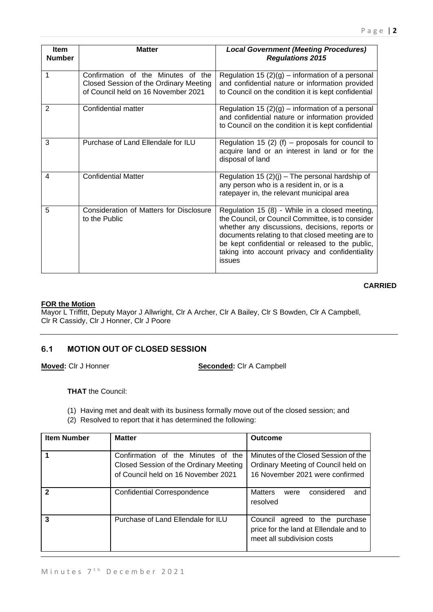| <b>Item</b><br><b>Number</b> | <b>Matter</b>                                                                                                       | <b>Local Government (Meeting Procedures)</b><br><b>Regulations 2015</b>                                                                                                                                                                                                                                                   |
|------------------------------|---------------------------------------------------------------------------------------------------------------------|---------------------------------------------------------------------------------------------------------------------------------------------------------------------------------------------------------------------------------------------------------------------------------------------------------------------------|
| 1                            | Confirmation of the Minutes of the<br>Closed Session of the Ordinary Meeting<br>of Council held on 16 November 2021 | Regulation 15 $(2)(g)$ – information of a personal<br>and confidential nature or information provided<br>to Council on the condition it is kept confidential                                                                                                                                                              |
| 2                            | Confidential matter                                                                                                 | Regulation 15 $(2)(g)$ – information of a personal<br>and confidential nature or information provided<br>to Council on the condition it is kept confidential                                                                                                                                                              |
| 3                            | Purchase of Land Ellendale for ILU                                                                                  | Regulation 15 (2) (f) – proposals for council to<br>acquire land or an interest in land or for the<br>disposal of land                                                                                                                                                                                                    |
| 4                            | <b>Confidential Matter</b>                                                                                          | Regulation 15 $(2)(j)$ – The personal hardship of<br>any person who is a resident in, or is a<br>ratepayer in, the relevant municipal area                                                                                                                                                                                |
| 5                            | Consideration of Matters for Disclosure<br>to the Public                                                            | Regulation 15 (8) - While in a closed meeting,<br>the Council, or Council Committee, is to consider<br>whether any discussions, decisions, reports or<br>documents relating to that closed meeting are to<br>be kept confidential or released to the public,<br>taking into account privacy and confidentiality<br>issues |

### **CARRIED**

#### **FOR the Motion**

Mayor L Triffitt, Deputy Mayor J Allwright, Clr A Archer, Clr A Bailey, Clr S Bowden, Clr A Campbell, Clr R Cassidy, Clr J Honner, Clr J Poore

# **6.1 MOTION OUT OF CLOSED SESSION**

**Moved:** Clr J Honner **Seconded:** Clr A Campbell

**THAT** the Council:

- (1) Having met and dealt with its business formally move out of the closed session; and
- (2) Resolved to report that it has determined the following:

| <b>Item Number</b> | <b>Matter</b>                                                                                                       | <b>Outcome</b>                                                                                                 |
|--------------------|---------------------------------------------------------------------------------------------------------------------|----------------------------------------------------------------------------------------------------------------|
|                    | Confirmation of the Minutes of the<br>Closed Session of the Ordinary Meeting<br>of Council held on 16 November 2021 | Minutes of the Closed Session of the<br>Ordinary Meeting of Council held on<br>16 November 2021 were confirmed |
| 2                  | <b>Confidential Correspondence</b>                                                                                  | <b>Matters</b><br>considered<br>and<br>were<br>resolved                                                        |
| 3                  | Purchase of Land Ellendale for ILU                                                                                  | Council agreed to the<br>purchase<br>price for the land at Ellendale and to<br>meet all subdivision costs      |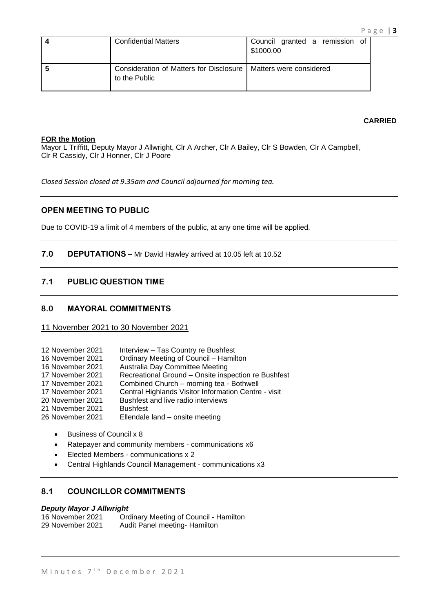| <b>Confidential Matters</b>                                | Council granted a remission of<br>\$1000.00 |  |
|------------------------------------------------------------|---------------------------------------------|--|
| Consideration of Matters for Disclosure  <br>to the Public | Matters were considered                     |  |

#### **CARRIED**

#### **FOR the Motion**

Mayor L Triffitt, Deputy Mayor J Allwright, Clr A Archer, Clr A Bailey, Clr S Bowden, Clr A Campbell, Clr R Cassidy, Clr J Honner, Clr J Poore

*Closed Session closed at 9.35am and Council adjourned for morning tea.*

#### **OPEN MEETING TO PUBLIC**

Due to COVID-19 a limit of 4 members of the public, at any one time will be applied.

#### **7.0 DEPUTATIONS –** Mr David Hawley arrived at 10.05 left at 10.52

#### **7.1 PUBLIC QUESTION TIME**

#### **8.0 MAYORAL COMMITMENTS**

#### 11 November 2021 to 30 November 2021

- 12 November 2021 Interview Tas Country re Bushfest
- 16 November 2021 Ordinary Meeting of Council Hamilton
- 16 November 2021 Australia Day Committee Meeting
- 17 November 2021 Recreational Ground Onsite inspection re Bushfest
- 17 November 2021 Combined Church morning tea Bothwell
- 17 November 2021 Central Highlands Visitor Information Centre visit
- 20 November 2021 Bushfest and live radio interviews
- 21 November 2021 Bushfest<br>26 November 2021 Ellendale
- Ellendale land onsite meeting
	- Business of Council x 8
	- Ratepayer and community members communications x6
	- Elected Members communications x 2
	- Central Highlands Council Management communications x3

# **8.1 COUNCILLOR COMMITMENTS**

# *Deputy Mayor J Allwright*

Ordinary Meeting of Council - Hamilton 29 November 2021 Audit Panel meeting- Hamilton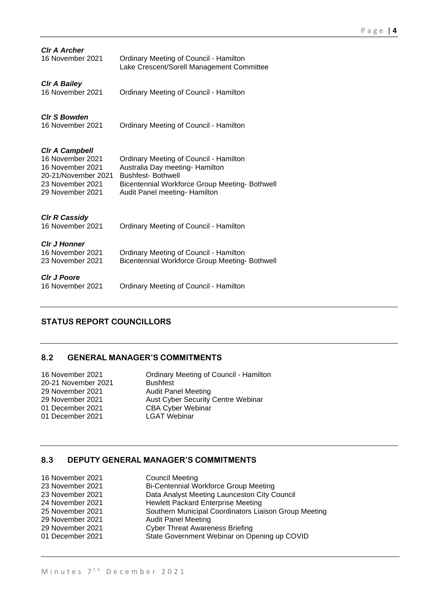| <b>CIr A Archer</b><br>16 November 2021                                                                               | <b>Ordinary Meeting of Council - Hamilton</b><br>Lake Crescent/Sorell Management Committee                                                                                                             |
|-----------------------------------------------------------------------------------------------------------------------|--------------------------------------------------------------------------------------------------------------------------------------------------------------------------------------------------------|
| <b>CIr A Bailey</b><br>16 November 2021                                                                               | <b>Ordinary Meeting of Council - Hamilton</b>                                                                                                                                                          |
| <b>CIr S Bowden</b><br>16 November 2021                                                                               | <b>Ordinary Meeting of Council - Hamilton</b>                                                                                                                                                          |
| Cir A Campbell<br>16 November 2021<br>16 November 2021<br>20-21/November 2021<br>23 November 2021<br>29 November 2021 | <b>Ordinary Meeting of Council - Hamilton</b><br>Australia Day meeting- Hamilton<br><b>Bushfest-Bothwell</b><br><b>Bicentennial Workforce Group Meeting- Bothwell</b><br>Audit Panel meeting- Hamilton |
| <b>CIr R Cassidy</b><br>16 November 2021                                                                              | <b>Ordinary Meeting of Council - Hamilton</b>                                                                                                                                                          |
| <b>CIr J Honner</b><br>16 November 2021<br>23 November 2021                                                           | <b>Ordinary Meeting of Council - Hamilton</b><br>Bicentennial Workforce Group Meeting- Bothwell                                                                                                        |
| <b>Cir J Poore</b><br>16 November 2021                                                                                | <b>Ordinary Meeting of Council - Hamilton</b>                                                                                                                                                          |

# **STATUS REPORT COUNCILLORS**

# **8.2 GENERAL MANAGER'S COMMITMENTS**

| 16 November 2021    | Ordinary Meeting of        |
|---------------------|----------------------------|
| 20-21 November 2021 | <b>Bushfest</b>            |
| 29 November 2021    | <b>Audit Panel Meeting</b> |
| 29 November 2021    | <b>Aust Cyber Security</b> |
| 01 December 2021    | <b>CBA Cyber Webinar</b>   |
| 01 December 2021    | <b>LGAT Webinar</b>        |
|                     |                            |

Ordinary Meeting of Council - Hamilton Bushfest 29 November 2021 **Aust Cyber Security Centre Webinar** LGAT Webinar

# **8.3 DEPUTY GENERAL MANAGER'S COMMITMENTS**

| 16 November 2021 | <b>Council Meeting</b>                                |
|------------------|-------------------------------------------------------|
| 23 November 2021 | Bi-Centennial Workforce Group Meeting                 |
| 23 November 2021 | Data Analyst Meeting Launceston City Council          |
| 24 November 2021 | Hewlett Packard Enterprise Meeting                    |
| 25 November 2021 | Southern Municipal Coordinators Liaison Group Meeting |
| 29 November 2021 | <b>Audit Panel Meeting</b>                            |
| 29 November 2021 | <b>Cyber Threat Awareness Briefing</b>                |
| 01 December 2021 | State Government Webinar on Opening up COVID          |
|                  |                                                       |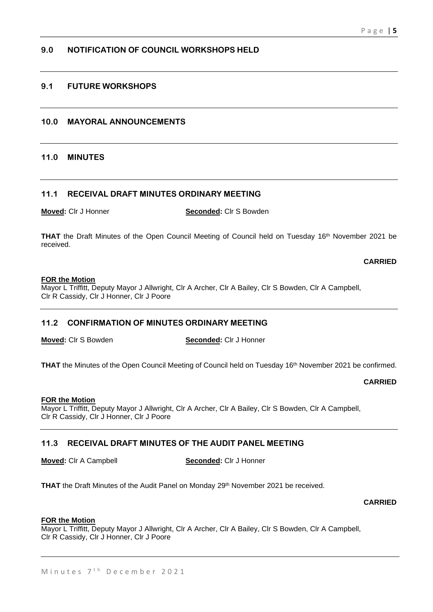# **9.0 NOTIFICATION OF COUNCIL WORKSHOPS HELD**

# **9.1 FUTURE WORKSHOPS**

### **10.0 MAYORAL ANNOUNCEMENTS**

#### **11.0 MINUTES**

#### **11.1 RECEIVAL DRAFT MINUTES ORDINARY MEETING**

**Moved:** Clr J Honner **Seconded:** Clr S Bowden

**THAT** the Draft Minutes of the Open Council Meeting of Council held on Tuesday 16th November 2021 be received.

**CARRIED**

#### **FOR the Motion**

Mayor L Triffitt, Deputy Mayor J Allwright, Clr A Archer, Clr A Bailey, Clr S Bowden, Clr A Campbell, Clr R Cassidy, Clr J Honner, Clr J Poore

### **11.2 CONFIRMATION OF MINUTES ORDINARY MEETING**

**Moved:** Clr S Bowden **Seconded:** Clr J Honner

**THAT** the Minutes of the Open Council Meeting of Council held on Tuesday 16<sup>th</sup> November 2021 be confirmed.

**CARRIED**

### **FOR the Motion**

Mayor L Triffitt, Deputy Mayor J Allwright, Clr A Archer, Clr A Bailey, Clr S Bowden, Clr A Campbell, Clr R Cassidy, Clr J Honner, Clr J Poore

### **11.3 RECEIVAL DRAFT MINUTES OF THE AUDIT PANEL MEETING**

**Moved:** Clr A Campbell **Seconded:** Clr J Honner

**THAT** the Draft Minutes of the Audit Panel on Monday 29<sup>th</sup> November 2021 be received.

**CARRIED**

#### **FOR the Motion**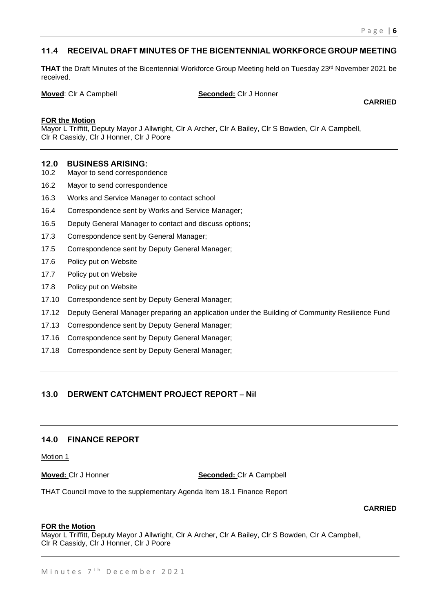# **11.4 RECEIVAL DRAFT MINUTES OF THE BICENTENNIAL WORKFORCE GROUP MEETING**

**THAT** the Draft Minutes of the Bicentennial Workforce Group Meeting held on Tuesday 23<sup>rd</sup> November 2021 be received.

**Moved:** Clr A Campbell **Seconded:** Clr J Honner

**CARRIED**

#### **FOR the Motion**

Mayor L Triffitt, Deputy Mayor J Allwright, Clr A Archer, Clr A Bailey, Clr S Bowden, Clr A Campbell, Clr R Cassidy, Clr J Honner, Clr J Poore

#### **12.0 BUSINESS ARISING:**

- 10.2 Mayor to send correspondence
- 16.2 Mayor to send correspondence
- 16.3 Works and Service Manager to contact school
- 16.4 Correspondence sent by Works and Service Manager;
- 16.5 Deputy General Manager to contact and discuss options;
- 17.3 Correspondence sent by General Manager;
- 17.5 Correspondence sent by Deputy General Manager;
- 17.6 Policy put on Website
- 17.7 Policy put on Website
- 17.8 Policy put on Website
- 17.10 Correspondence sent by Deputy General Manager;
- 17.12 Deputy General Manager preparing an application under the Building of Community Resilience Fund
- 17.13 Correspondence sent by Deputy General Manager;
- 17.16 Correspondence sent by Deputy General Manager;
- 17.18 Correspondence sent by Deputy General Manager;

# **13.0 DERWENT CATCHMENT PROJECT REPORT – Nil**

#### **14.0 FINANCE REPORT**

Motion 1

**Moved:** CIr J Honner **Seconded:** CIr A Campbell

THAT Council move to the supplementary Agenda Item 18.1 Finance Report

**CARRIED**

#### **FOR the Motion**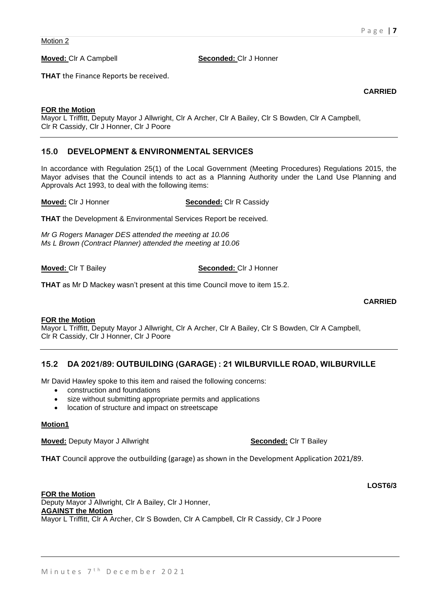#### **Moved:** Clr A Campbell **Seconded:** Clr J Honner

**THAT** the Finance Reports be received.

#### **FOR the Motion**

Mayor L Triffitt, Deputy Mayor J Allwright, Clr A Archer, Clr A Bailey, Clr S Bowden, Clr A Campbell, Clr R Cassidy, Clr J Honner, Clr J Poore

#### **15.0 DEVELOPMENT & ENVIRONMENTAL SERVICES**

In accordance with Regulation 25(1) of the Local Government (Meeting Procedures) Regulations 2015, the Mayor advises that the Council intends to act as a Planning Authority under the Land Use Planning and Approvals Act 1993, to deal with the following items:

#### **Moved:** Clr J Honner **Seconded:** Clr R Cassidy

**THAT** the Development & Environmental Services Report be received.

*Mr G Rogers Manager DES attended the meeting at 10.06 Ms L Brown (Contract Planner) attended the meeting at 10.06*

#### **Moved:** Clr T Bailey **Seconded:** Clr J Honner

**THAT** as Mr D Mackey wasn't present at this time Council move to item 15.2.

**CARRIED**

#### **FOR the Motion**

Mayor L Triffitt, Deputy Mayor J Allwright, Clr A Archer, Clr A Bailey, Clr S Bowden, Clr A Campbell, Clr R Cassidy, Clr J Honner, Clr J Poore

#### **15.2 DA 2021/89: OUTBUILDING (GARAGE) : 21 WILBURVILLE ROAD, WILBURVILLE**

Mr David Hawley spoke to this item and raised the following concerns:

- construction and foundations
- size without submitting appropriate permits and applications
- location of structure and impact on streetscape

#### **Motion1**

**Moved:** Deputy Mayor J Allwright **Seconded:** Clr T Bailey **Seconded:** Clr T Bailey

**THAT** Council approve the outbuilding (garage) as shown in the Development Application 2021/89.

#### **FOR the Motion** Deputy Mayor J Allwright, Clr A Bailey, Clr J Honner, **AGAINST the Motion** Mayor L Triffitt, Clr A Archer, Clr S Bowden, Clr A Campbell, Clr R Cassidy, Clr J Poore

**CARRIED**

**LOST6/3**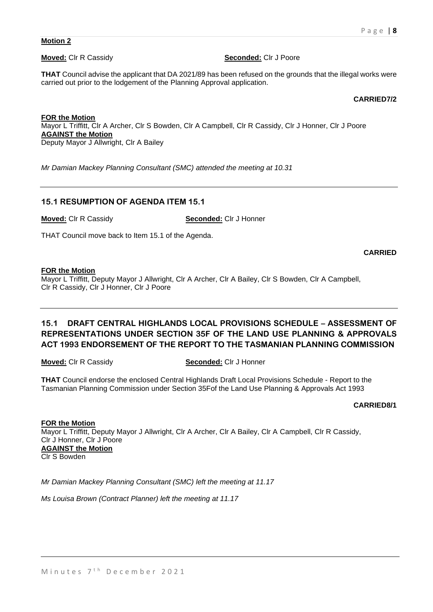#### **Motion 2**

**Moved:** Clr R Cassidy **Seconded:** Clr J Poore

**THAT** Council advise the applicant that DA 2021/89 has been refused on the grounds that the illegal works were carried out prior to the lodgement of the Planning Approval application.

#### **CARRIED7/2**

**FOR the Motion** Mayor L Triffitt, Clr A Archer, Clr S Bowden, Clr A Campbell, Clr R Cassidy, Clr J Honner, Clr J Poore **AGAINST the Motion** Deputy Mayor J Allwright, Clr A Bailey

*Mr Damian Mackey Planning Consultant (SMC) attended the meeting at 10.31* 

#### **15.1 RESUMPTION OF AGENDA ITEM 15.1**

**Moved:** Clr R Cassidy **Seconded:** Clr J Honner

THAT Council move back to Item 15.1 of the Agenda.

**CARRIED**

#### **FOR the Motion**

Mayor L Triffitt, Deputy Mayor J Allwright, Clr A Archer, Clr A Bailey, Clr S Bowden, Clr A Campbell, Clr R Cassidy, Clr J Honner, Clr J Poore

# **15.1 DRAFT CENTRAL HIGHLANDS LOCAL PROVISIONS SCHEDULE – ASSESSMENT OF REPRESENTATIONS UNDER SECTION 35F OF THE LAND USE PLANNING & APPROVALS ACT 1993 ENDORSEMENT OF THE REPORT TO THE TASMANIAN PLANNING COMMISSION**

**Moved:** Clr R Cassidy **Seconded:** Clr J Honner

**THAT** Council endorse the enclosed Central Highlands Draft Local Provisions Schedule - Report to the Tasmanian Planning Commission under Section 35Fof the Land Use Planning & Approvals Act 1993

**CARRIED8/1**

**FOR the Motion** Mayor L Triffitt, Deputy Mayor J Allwright, Clr A Archer, Clr A Bailey, Clr A Campbell, Clr R Cassidy, Clr J Honner, Clr J Poore **AGAINST the Motion** Clr S Bowden

*Mr Damian Mackey Planning Consultant (SMC) left the meeting at 11.17*

*Ms Louisa Brown (Contract Planner) left the meeting at 11.17*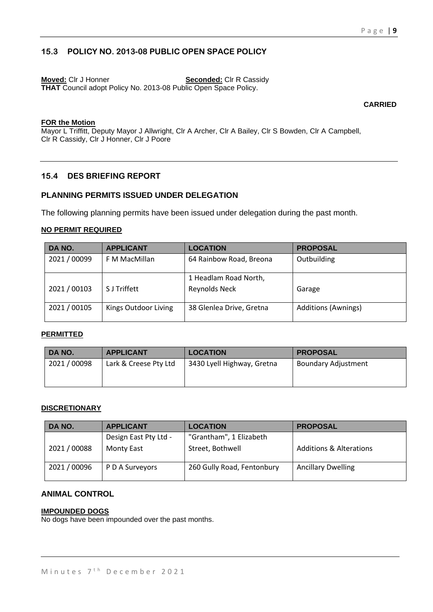# **15.3 POLICY NO. 2013-08 PUBLIC OPEN SPACE POLICY**

**Moved:** Clr J Honner **Seconded:** Clr R Cassidy **THAT** Council adopt Policy No. 2013-08 Public Open Space Policy.

#### **CARRIED**

#### **FOR the Motion**

Mayor L Triffitt, Deputy Mayor J Allwright, Clr A Archer, Clr A Bailey, Clr S Bowden, Clr A Campbell, Clr R Cassidy, Clr J Honner, Clr J Poore

# **15.4 DES BRIEFING REPORT**

# **PLANNING PERMITS ISSUED UNDER DELEGATION**

The following planning permits have been issued under delegation during the past month.

#### **NO PERMIT REQUIRED**

| DA NO.       | <b>APPLICANT</b>     | <b>LOCATION</b>                        | <b>PROPOSAL</b>     |
|--------------|----------------------|----------------------------------------|---------------------|
| 2021 / 00099 | F M MacMillan        | 64 Rainbow Road, Breona                | Outbuilding         |
| 2021 / 00103 | S J Triffett         | 1 Headlam Road North,<br>Reynolds Neck | Garage              |
| 2021 / 00105 | Kings Outdoor Living | 38 Glenlea Drive, Gretna               | Additions (Awnings) |

#### **PERMITTED**

| DA NO.       | <b>APPLICANT</b>      | <b>LOCATION</b>            | <b>PROPOSAL</b>            |
|--------------|-----------------------|----------------------------|----------------------------|
| 2021 / 00098 | Lark & Creese Pty Ltd | 3430 Lyell Highway, Gretna | <b>Boundary Adjustment</b> |
|              |                       |                            |                            |

#### **DISCRETIONARY**

| DA NO.       | <b>APPLICANT</b>      | <b>LOCATION</b>            | <b>PROPOSAL</b>                    |
|--------------|-----------------------|----------------------------|------------------------------------|
|              | Design East Pty Ltd - | "Grantham", 1 Elizabeth    |                                    |
| 2021/00088   | <b>Monty East</b>     | Street, Bothwell           | <b>Additions &amp; Alterations</b> |
| 2021 / 00096 | P D A Surveyors       | 260 Gully Road, Fentonbury | <b>Ancillary Dwelling</b>          |

# **ANIMAL CONTROL**

#### **IMPOUNDED DOGS**

No dogs have been impounded over the past months.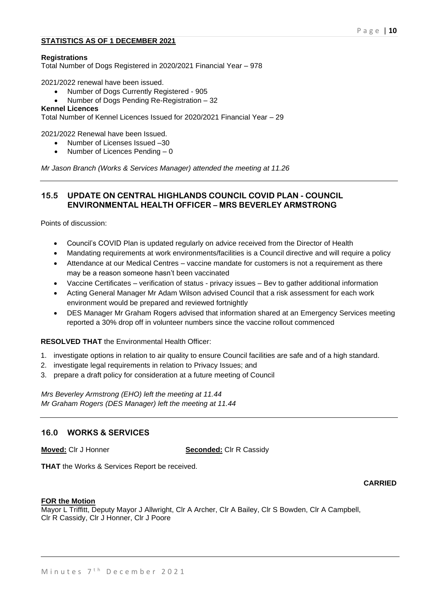#### **STATISTICS AS OF 1 DECEMBER 2021**

#### **Registrations**

Total Number of Dogs Registered in 2020/2021 Financial Year – 978

2021/2022 renewal have been issued.

- Number of Dogs Currently Registered 905
- Number of Dogs Pending Re-Registration 32

#### **Kennel Licences**

Total Number of Kennel Licences Issued for 2020/2021 Financial Year – 29

2021/2022 Renewal have been Issued.

- Number of Licenses Issued –30
- Number of Licences Pending 0

*Mr Jason Branch (Works & Services Manager) attended the meeting at 11.26*

# **15.5 UPDATE ON CENTRAL HIGHLANDS COUNCIL COVID PLAN - COUNCIL ENVIRONMENTAL HEALTH OFFICER – MRS BEVERLEY ARMSTRONG**

Points of discussion:

- Council's COVID Plan is updated regularly on advice received from the Director of Health
- Mandating requirements at work environments/facilities is a Council directive and will require a policy
- Attendance at our Medical Centres vaccine mandate for customers is not a requirement as there may be a reason someone hasn't been vaccinated
- Vaccine Certificates verification of status privacy issues Bev to gather additional information
- Acting General Manager Mr Adam Wilson advised Council that a risk assessment for each work environment would be prepared and reviewed fortnightly
- DES Manager Mr Graham Rogers advised that information shared at an Emergency Services meeting reported a 30% drop off in volunteer numbers since the vaccine rollout commenced

#### **RESOLVED THAT** the Environmental Health Officer:

- 1. investigate options in relation to air quality to ensure Council facilities are safe and of a high standard.
- 2. investigate legal requirements in relation to Privacy Issues; and
- 3. prepare a draft policy for consideration at a future meeting of Council

*Mrs Beverley Armstrong (EHO) left the meeting at 11.44 Mr Graham Rogers (DES Manager) left the meeting at 11.44*

#### **16.0 WORKS & SERVICES**

**Moved:** Clr J Honner **Seconded:** Clr R Cassidy

**THAT** the Works & Services Report be received.

#### **CARRIED**

#### **FOR the Motion**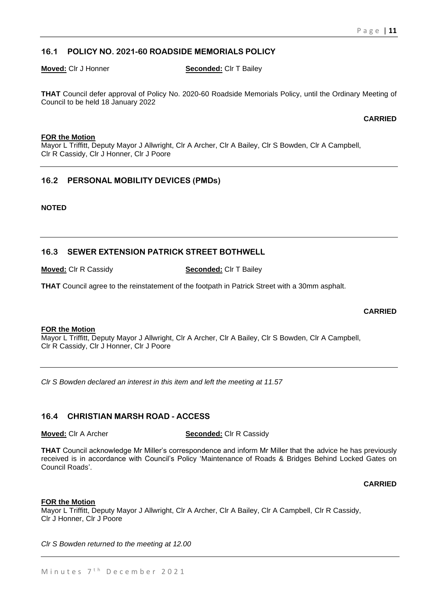# **16.1 POLICY NO. 2021-60 ROADSIDE MEMORIALS POLICY**

#### **Moved:** Clr J Honner **Seconded:** Clr T Bailey

**THAT** Council defer approval of Policy No. 2020-60 Roadside Memorials Policy, until the Ordinary Meeting of Council to be held 18 January 2022

**CARRIED**

#### **FOR the Motion**

Mayor L Triffitt, Deputy Mayor J Allwright, Clr A Archer, Clr A Bailey, Clr S Bowden, Clr A Campbell, Clr R Cassidy, Clr J Honner, Clr J Poore

# **16.2 PERSONAL MOBILITY DEVICES (PMDs)**

**NOTED**

# **16.3 SEWER EXTENSION PATRICK STREET BOTHWELL**

**Moved:** Clr R Cassidy **Seconded:** Clr T Bailey

**THAT** Council agree to the reinstatement of the footpath in Patrick Street with a 30mm asphalt.

#### **CARRIED**

#### **FOR the Motion**

Mayor L Triffitt, Deputy Mayor J Allwright, Clr A Archer, Clr A Bailey, Clr S Bowden, Clr A Campbell, Clr R Cassidy, Clr J Honner, Clr J Poore

*Clr S Bowden declared an interest in this item and left the meeting at 11.57*

#### **16.4 CHRISTIAN MARSH ROAD - ACCESS**

**Moved:** Clr A Archer **Seconded:** Clr R Cassidy

**THAT** Council acknowledge Mr Miller's correspondence and inform Mr Miller that the advice he has previously received is in accordance with Council's Policy 'Maintenance of Roads & Bridges Behind Locked Gates on Council Roads'.

**CARRIED**

#### **FOR the Motion**

Mayor L Triffitt, Deputy Mayor J Allwright, Clr A Archer, Clr A Bailey, Clr A Campbell, Clr R Cassidy, Clr J Honner, Clr J Poore

*Clr S Bowden returned to the meeting at 12.00*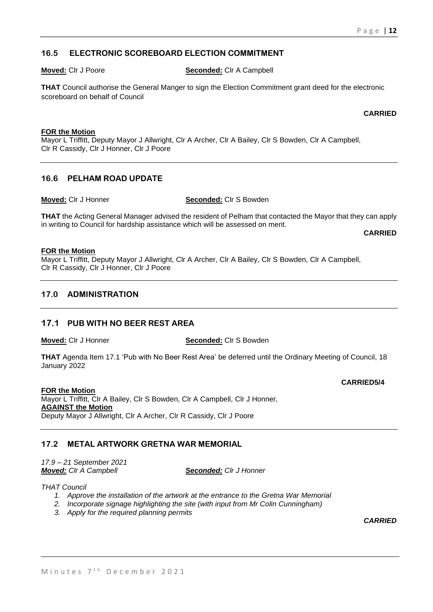# **16.5 ELECTRONIC SCOREBOARD ELECTION COMMITMENT**

#### **Moved:** Clr J Poore **Seconded:** Clr A Campbell

**THAT** Council authorise the General Manger to sign the Election Commitment grant deed for the electronic scoreboard on behalf of Council

#### **CARRIED**

#### **FOR the Motion**

Mayor L Triffitt, Deputy Mayor J Allwright, Clr A Archer, Clr A Bailey, Clr S Bowden, Clr A Campbell, Clr R Cassidy, Clr J Honner, Clr J Poore

### **16.6 PELHAM ROAD UPDATE**

#### **Moved:** Clr J Honner **Seconded:** Clr S Bowden

**THAT** the Acting General Manager advised the resident of Pelham that contacted the Mayor that they can apply in writing to Council for hardship assistance which will be assessed on merit.

**CARRIED**

#### **FOR the Motion**

Mayor L Triffitt, Deputy Mayor J Allwright, Clr A Archer, Clr A Bailey, Clr S Bowden, Clr A Campbell, Clr R Cassidy, Clr J Honner, Clr J Poore

### **17.0 ADMINISTRATION**

### **17.1 PUB WITH NO BEER REST AREA**

**Moved:** Clr J Honner **Seconded:** Clr S Bowden

**THAT** Agenda Item 17.1 'Pub with No Beer Rest Area' be deferred until the Ordinary Meeting of Council, 18 January 2022

#### **FOR the Motion**

**CARRIED5/4**

Mayor L Triffitt, Clr A Bailey, Clr S Bowden, Clr A Campbell, Clr J Honner, **AGAINST the Motion** Deputy Mayor J Allwright, Clr A Archer, Clr R Cassidy, Clr J Poore

# **17.2 METAL ARTWORK GRETNA WAR MEMORIAL**

*17.9 – 21 September 2021 Moved: Clr A Campbell Seconded: Clr J Honner*

*THAT Council* 

- *1. Approve the installation of the artwork at the entrance to the Gretna War Memorial*
- *2. Incorporate signage highlighting the site (with input from Mr Colin Cunningham)*
- *3. Apply for the required planning permits*

*CARRIED*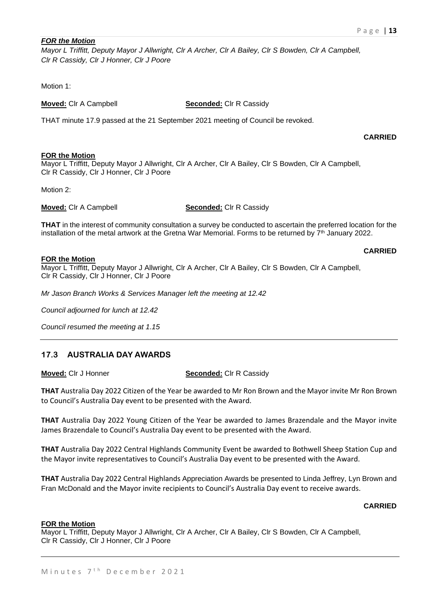#### *FOR the Motion*

*Mayor L Triffitt, Deputy Mayor J Allwright, Clr A Archer, Clr A Bailey, Clr S Bowden, Clr A Campbell, Clr R Cassidy, Clr J Honner, Clr J Poore*

Motion 1<sup>-</sup>

**Moved:** Clr A Campbell **Seconded:** Clr R Cassidy

THAT minute 17.9 passed at the 21 September 2021 meeting of Council be revoked.

#### **CARRIED**

#### **FOR the Motion** Mayor L Triffitt, Deputy Mayor J Allwright, Clr A Archer, Clr A Bailey, Clr S Bowden, Clr A Campbell, Clr R Cassidy, Clr J Honner, Clr J Poore

Motion 2:

**Moved:** Clr A Campbell **Seconded:** Clr R Cassidy

**THAT** in the interest of community consultation a survey be conducted to ascertain the preferred location for the installation of the metal artwork at the Gretna War Memorial. Forms to be returned by 7<sup>th</sup> January 2022.

#### **FOR the Motion**

**CARRIED**

Mayor L Triffitt, Deputy Mayor J Allwright, Clr A Archer, Clr A Bailey, Clr S Bowden, Clr A Campbell, Clr R Cassidy, Clr J Honner, Clr J Poore

*Mr Jason Branch Works & Services Manager left the meeting at 12.42*

*Council adjourned for lunch at 12.42*

*Council resumed the meeting at 1.15*

# **17.3 AUSTRALIA DAY AWARDS**

**Moved:** Clr J Honner **Seconded:** Clr R Cassidy

**THAT** Australia Day 2022 Citizen of the Year be awarded to Mr Ron Brown and the Mayor invite Mr Ron Brown to Council's Australia Day event to be presented with the Award.

**THAT** Australia Day 2022 Young Citizen of the Year be awarded to James Brazendale and the Mayor invite James Brazendale to Council's Australia Day event to be presented with the Award.

**THAT** Australia Day 2022 Central Highlands Community Event be awarded to Bothwell Sheep Station Cup and the Mayor invite representatives to Council's Australia Day event to be presented with the Award.

**THAT** Australia Day 2022 Central Highlands Appreciation Awards be presented to Linda Jeffrey, Lyn Brown and Fran McDonald and the Mayor invite recipients to Council's Australia Day event to receive awards.

#### **CARRIED**

#### **FOR the Motion**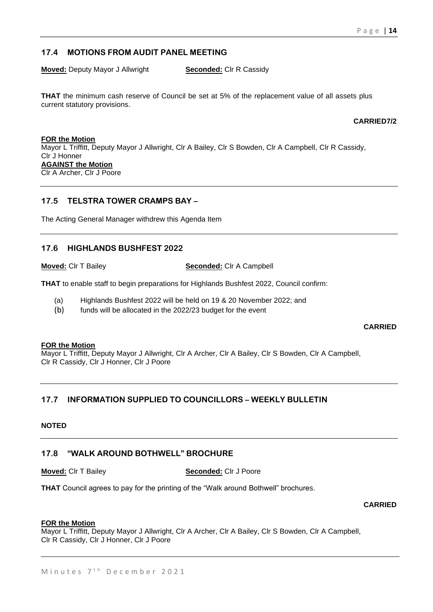# **17.4 MOTIONS FROM AUDIT PANEL MEETING**

**Moved:** Deputy Mayor J Allwright **Seconded:** Clr R Cassidy

**THAT** the minimum cash reserve of Council be set at 5% of the replacement value of all assets plus current statutory provisions.

**CARRIED7/2**

**FOR the Motion** Mayor L Triffitt, Deputy Mayor J Allwright, Clr A Bailey, Clr S Bowden, Clr A Campbell, Clr R Cassidy, Clr J Honner **AGAINST the Motion** Clr A Archer, Clr J Poore

# **17.5 TELSTRA TOWER CRAMPS BAY –**

The Acting General Manager withdrew this Agenda Item

### **17.6 HIGHLANDS BUSHFEST 2022**

**Moved:** Clr T Bailey **Seconded:** Clr A Campbell

**THAT** to enable staff to begin preparations for Highlands Bushfest 2022, Council confirm:

- (a) Highlands Bushfest 2022 will be held on 19 & 20 November 2022; and
- (b) funds will be allocated in the 2022/23 budget for the event

#### **CARRIED**

#### **FOR the Motion**

Mayor L Triffitt, Deputy Mayor J Allwright, Clr A Archer, Clr A Bailey, Clr S Bowden, Clr A Campbell, Clr R Cassidy, Clr J Honner, Clr J Poore

# **17.7 INFORMATION SUPPLIED TO COUNCILLORS – WEEKLY BULLETIN**

#### **NOTED**

# **17.8 "WALK AROUND BOTHWELL" BROCHURE**

#### **Moved:** Clr T Bailey **Seconded:** Clr J Poore

**THAT** Council agrees to pay for the printing of the "Walk around Bothwell" brochures.

#### **CARRIED**

#### **FOR the Motion**